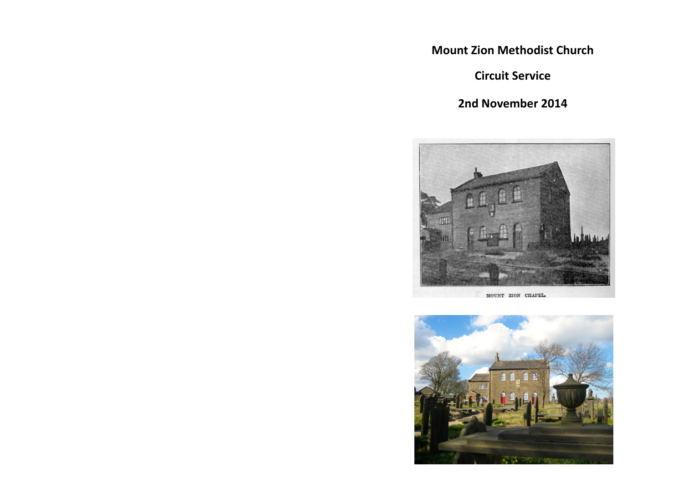**Mount Zion Methodist Church**

**Circuit Service**

**2nd November 2014**



MOUNT ZION CHAPEL.

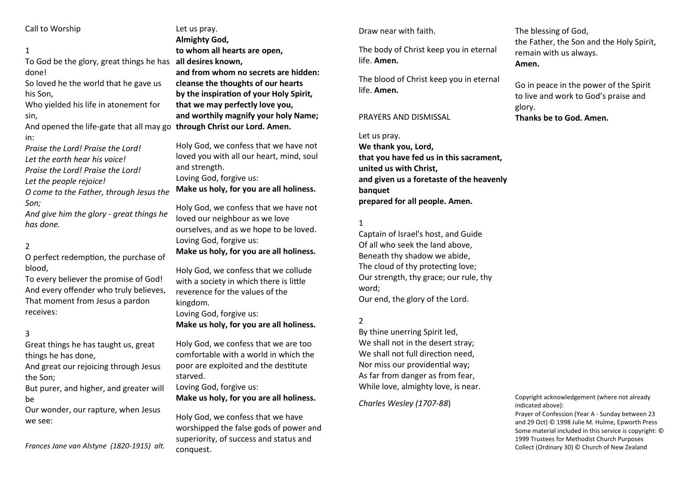#### Call to Worship

## 1 To God be the glory, great things he has **all desires known,** done!

So loved he the world that he gave us his Son,

Who yielded his life in atonement for sin,

And opened the life-gate that all may go **through Christ our Lord. Amen.** in:

*Praise the Lord! Praise the Lord! Let the earth hear his voice! Praise the Lord! Praise the Lord! Let the people rejoice!*

*O come to the Father, through Jesus the Son;*

*And give him the glory - great things he has done.*

## 2

O perfect redemption, the purchase of blood,

To every believer the promise of God! And every offender who truly believes, That moment from Jesus a pardon receives:

### 3

Great things he has taught us, great things he has done,

And great our rejoicing through Jesus the Son;

But purer, and higher, and greater will be

Our wonder, our rapture, when Jesus we see:

*Frances Jane van Alstyne (1820-1915) alt.*

Let us pray. **Almighty God, to whom all hearts are open, and from whom no secrets are hidden: cleanse the thoughts of our hearts by the inspiration of your Holy Spirit, that we may perfectly love you, and worthily magnify your holy Name;**

Holy God, we confess that we have not loved you with all our heart, mind, soul and strength. Loving God, forgive us: **Make us holy, for you are all holiness.**

Holy God, we confess that we have not loved our neighbour as we love ourselves, and as we hope to be loved. Loving God, forgive us: **Make us holy, for you are all holiness.**

Holy God, we confess that we collude with a society in which there is little reverence for the values of the kingdom.

Loving God, forgive us: **Make us holy, for you are all holiness.**

Holy God, we confess that we are too comfortable with a world in which the poor are exploited and the destitute starved.

Loving God, forgive us: **Make us holy, for you are all holiness.**

Holy God, we confess that we have worshipped the false gods of power and superiority, of success and status and conquest.

Draw near with faith.

The body of Christ keep you in eternal life. **Amen.**

The blood of Christ keep you in eternal life. **Amen.**

#### PRAYERS AND DISMISSAL

#### Let us pray.

**We thank you, Lord, that you have fed us in this sacrament, united us with Christ, and given us a foretaste of the heavenly banquet prepared for all people. Amen.**

### 1

Captain of Israel's host, and Guide Of all who seek the land above, Beneath thy shadow we abide, The cloud of thy protecting love; Our strength, thy grace; our rule, thy word; Our end, the glory of the Lord.

## 2

By thine unerring Spirit led, We shall not in the desert stray; We shall not full direction need. Nor miss our providential way; As far from danger as from fear, While love, almighty love, is near.

*Charles Wesley (1707-88*)

# The blessing of God, the Father, the Son and the Holy Spirit, remain with us always. **Amen.**

Go in peace in the power of the Spirit to live and work to God's praise and glory. **Thanks be to God. Amen.**

Copyright acknowledgement (where not already indicated above):

Prayer of Confession (Year A - Sunday between 23 and 29 Oct) © 1998 Julie M. Hulme, Epworth Press Some material included in this service is copyright: © 1999 Trustees for Methodist Church Purposes Collect (Ordinary 30) © Church of New Zealand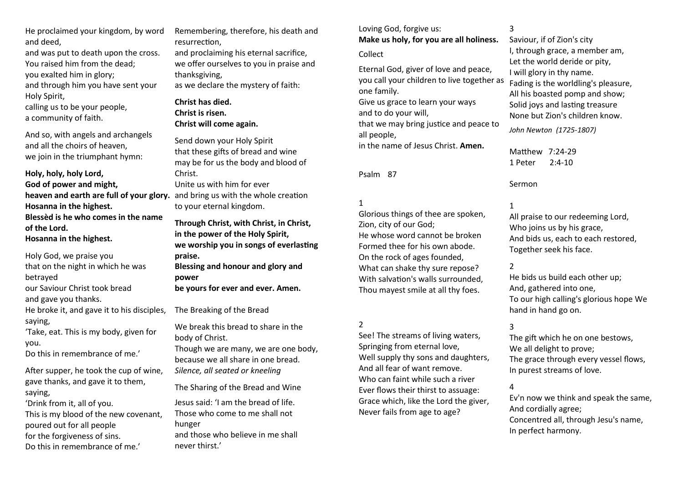He proclaimed your kingdom, by word and deed,

and was put to death upon the cross. You raised him from the dead; you exalted him in glory; and through him you have sent your Holy Spirit,

calling us to be your people, a community of faith.

And so, with angels and archangels and all the choirs of heaven, we join in the triumphant hymn:

**Holy, holy, holy Lord, God of power and might, heaven and earth are full of your glory.** and bring us with the whole creation **Hosanna in the highest. Blessèd is he who comes in the name of the Lord. Hosanna in the highest.**

Holy God, we praise you that on the night in which he was betrayed our Saviour Christ took bread and gave you thanks. He broke it, and gave it to his disciples, saying, 'Take, eat. This is my body, given for you. Do this in remembrance of me.'

After supper, he took the cup of wine, gave thanks, and gave it to them, saying, 'Drink from it, all of you. This is my blood of the new covenant, poured out for all people for the forgiveness of sins. Do this in remembrance of me.'

Remembering, therefore, his death and resurrection,

and proclaiming his eternal sacrifice, we offer ourselves to you in praise and thanksgiving, as we declare the mystery of faith:

**Christ has died. Christ is risen. Christ will come again.**

Send down your Holy Spirit that these gifts of bread and wine may be for us the body and blood of Christ. Unite us with him for ever

to your eternal kingdom.

**Through Christ, with Christ, in Christ, in the power of the Holy Spirit, we worship you in songs of everlasting praise. Blessing and honour and glory and power**

**be yours for ever and ever. Amen.**

The Breaking of the Bread

We break this bread to share in the body of Christ.

Though we are many, we are one body, because we all share in one bread. *Silence, all seated or kneeling* 

The Sharing of the Bread and Wine

Jesus said: 'I am the bread of life. Those who come to me shall not hunger and those who believe in me shall never thirst.'

Loving God, forgive us: **Make us holy, for you are all holiness.**

Collect

Eternal God, giver of love and peace, you call your children to live together as one family. Give us grace to learn your ways and to do your will, that we may bring justice and peace to all people, in the name of Jesus Christ. **Amen.**

Psalm 87

1

Glorious things of thee are spoken, Zion, city of our God; He whose word cannot be broken Formed thee for his own abode. On the rock of ages founded, What can shake thy sure repose? With salvation's walls surrounded, Thou mayest smile at all thy foes.

2

See! The streams of living waters, Springing from eternal love, Well supply thy sons and daughters, And all fear of want remove. Who can faint while such a river Ever flows their thirst to assuage: Grace which, like the Lord the giver, Never fails from age to age?

3

Saviour, if of Zion's city I, through grace, a member am, Let the world deride or pity, I will glory in thy name. Fading is the worldling's pleasure, All his boasted pomp and show; Solid joys and lasting treasure None but Zion's children know.

*John Newton (1725-1807)*

Matthew 7:24-29 1 Peter 2:4-10

Sermon

1

All praise to our redeeming Lord, Who joins us by his grace, And bids us, each to each restored, Together seek his face.

## 2

He bids us build each other up; And, gathered into one, To our high calling's glorious hope We hand in hand go on.

# 3

The gift which he on one bestows, We all delight to prove; The grace through every vessel flows, In purest streams of love.

# 4

Ev'n now we think and speak the same, And cordially agree; Concentred all, through Jesu's name, In perfect harmony.